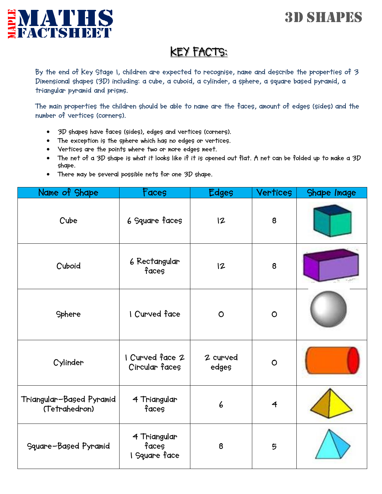## 3D SHAPES



## **KEY FACTS:**

**By the end of Key Stage 1, children are expected to recognise, name and describe the properties of 3 Dimensional shapes (3D) including: a cube, a cuboid, a cylinder, a sphere, a square based pyramid, a triangular pyramid and prisms.**

**The main properties the children should be able to name are the faces, amount of edges (sides) and the number of vertices (corners).** 

- **3D shapes have faces (sides), edges and vertices (corners).**
- **The exception is the sphere which has no edges or vertices.**
- **Vertices are the points where two or more edges meet.**
- **The net of a 3D shape is what it looks like if it is opened out flat. A net can be folded up to make a 3D shape.**
- **There may be several possible nets for one 3D shape.**

| Name of Shape                             | Faces                                  | <b>Edges</b>      | <b>Vertices</b> | Shape Image |
|-------------------------------------------|----------------------------------------|-------------------|-----------------|-------------|
| Cube                                      | 6 Square faces                         | 12                | 8               |             |
| Cuboid                                    | 6 Rectangular<br>faces                 | 12                | 8               |             |
| Sphere                                    | I Curved face                          | $\circ$           | $\circ$         |             |
| Cylinder                                  | I Curved face 2<br>Circular faces      | 2 curved<br>edges | $\circ$         |             |
| Triangular-Based Pyramid<br>(Tetrahedron) | 4 Triangular<br>faces                  | 6                 | $\overline{4}$  |             |
| Square-Based Pyramid                      | 4 Triangular<br>faces<br>I Square face | 8                 | 5               |             |